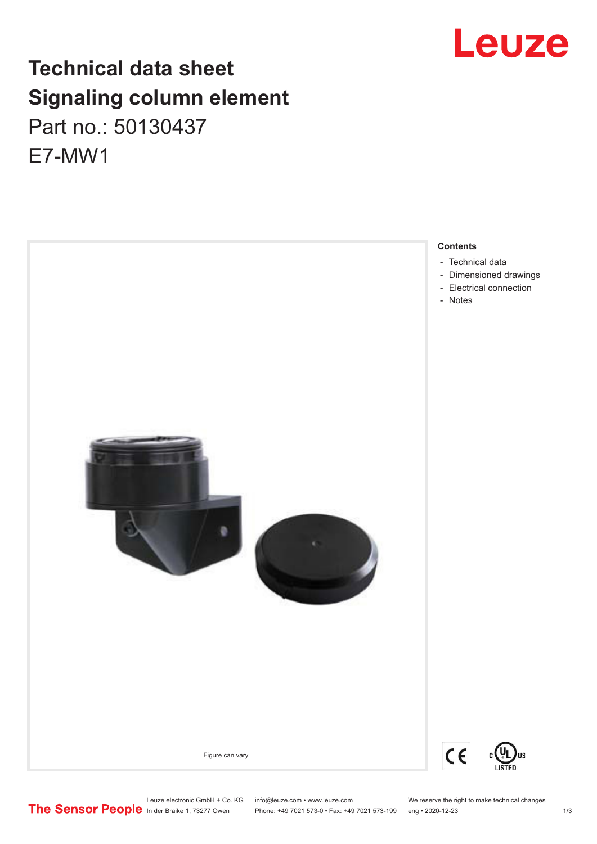## **Technical data sheet Signaling column element** Part no.: 50130437 E7-MW1



#### **Contents**

- [Dimensioned drawings](#page-1-0)
- 

Leuze electronic GmbH + Co. KG info@leuze.com • www.leuze.com We reserve the right to make technical changes<br>
The Sensor People in der Braike 1, 73277 Owen Phone: +49 7021 573-0 • Fax: +49 7021 573-199 eng • 2020-12-23

Phone: +49 7021 573-0 • Fax: +49 7021 573-199 eng • 2020-12-23 1 /3



US

# Leuze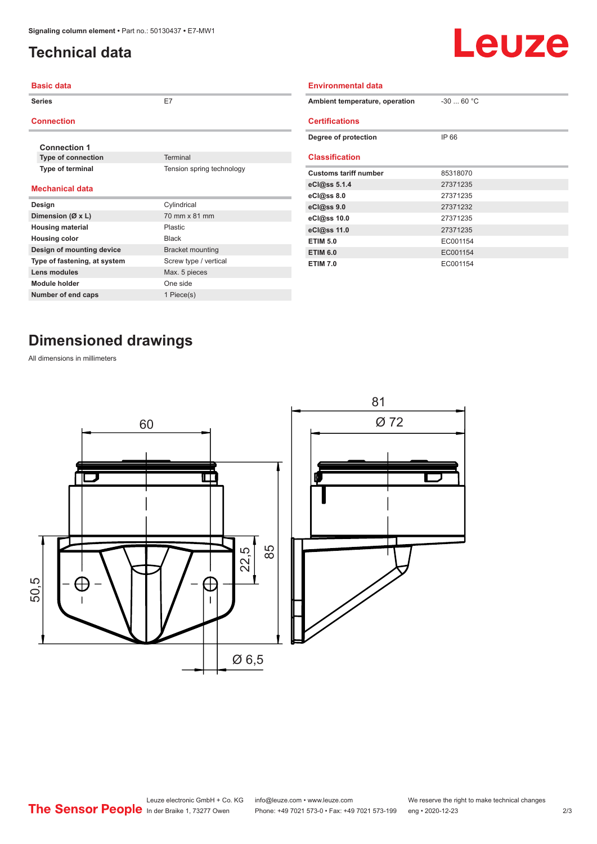## <span id="page-1-0"></span>**Technical data**



| <b>Basic data</b>            |                           | <b>Environmental data</b>      |             |
|------------------------------|---------------------------|--------------------------------|-------------|
| <b>Series</b>                | E7                        | Ambient temperature, operation | $-30$ 60 °C |
| <b>Connection</b>            |                           | <b>Certifications</b>          |             |
| <b>Connection 1</b>          |                           | Degree of protection           | IP 66       |
| Type of connection           | Terminal                  | <b>Classification</b>          |             |
| Type of terminal             | Tension spring technology | <b>Customs tariff number</b>   | 85318070    |
| <b>Mechanical data</b>       |                           | eCl@ss 5.1.4                   | 27371235    |
|                              |                           | eCl@ss 8.0                     | 27371235    |
| Design                       | Cylindrical               | eCl@ss 9.0                     | 27371232    |
| Dimension ( $\emptyset$ x L) | 70 mm x 81 mm             | eCl@ss 10.0                    | 27371235    |
| <b>Housing material</b>      | Plastic                   | eCl@ss 11.0                    | 27371235    |
| <b>Housing color</b>         | Black                     | <b>ETIM 5.0</b>                | EC001154    |
| Design of mounting device    | <b>Bracket mounting</b>   | <b>ETIM 6.0</b>                | EC001154    |
| Type of fastening, at system | Screw type / vertical     | <b>ETIM 7.0</b>                | EC001154    |
| <b>Lens modules</b>          | Max. 5 pieces             |                                |             |
| <b>Module holder</b>         | One side                  |                                |             |
| Number of end caps           | 1 Piece(s)                |                                |             |

## **Dimensioned drawings**

All dimensions in millimeters